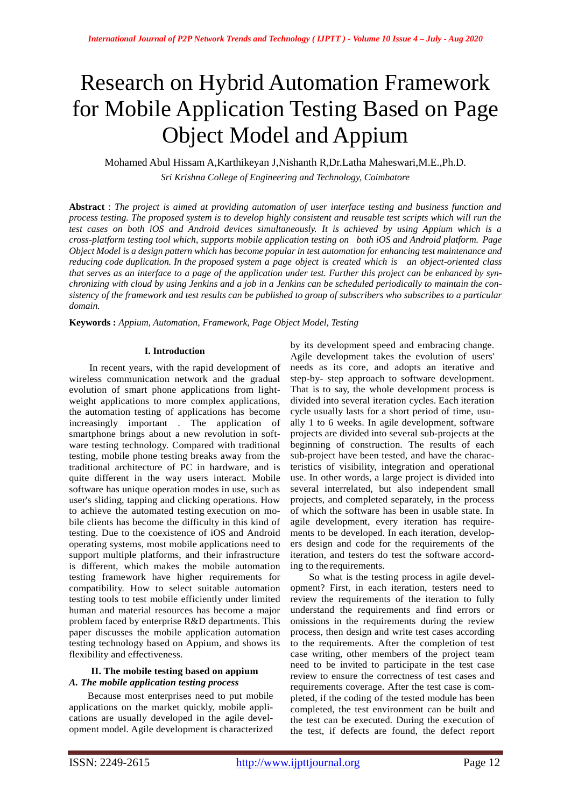# Research on Hybrid Automation Framework for Mobile Application Testing Based on Page Object Model and Appium

Mohamed Abul Hissam A,Karthikeyan J,Nishanth R,Dr.Latha Maheswari,M.E.,Ph.D.

*Sri Krishna College of Engineering and Technology, Coimbatore*

**Abstract** : *The project is aimed at providing automation of user interface testing and business function and process testing. The proposed system is to develop highly consistent and reusable test scripts which will run the test cases on both iOS and Android devices simultaneously. It is achieved by using Appium which is a cross-platform testing tool which, supports mobile application testing on both iOS and Android platform. Page Object Model is a design pattern which has become popular in test automation for enhancing test maintenance and reducing code duplication. In the proposed system a page object is created which is an object-oriented class that serves as an interface to a page of the application under test. Further this project can be enhanced by synchronizing with cloud by using Jenkins and a job in a Jenkins can be scheduled periodically to maintain the consistency of the framework and test results can be published to group of subscribers who subscribes to a particular domain.*

**Keywords :** *Appium, Automation, Framework, Page Object Model, Testing*

### **I. Introduction**

In recent years, with the rapid development of wireless communication network and the gradual evolution of smart phone applications from lightweight applications to more complex applications, the automation testing of applications has become increasingly important . The application of smartphone brings about a new revolution in software testing technology. Compared with traditional testing, mobile phone testing breaks away from the traditional architecture of PC in hardware, and is quite different in the way users interact. Mobile software has unique operation modes in use, such as user's sliding, tapping and clicking operations. How to achieve the automated testing execution on mobile clients has become the difficulty in this kind of testing. Due to the coexistence of iOS and Android operating systems, most mobile applications need to support multiple platforms, and their infrastructure is different, which makes the mobile automation testing framework have higher requirements for compatibility. How to select suitable automation testing tools to test mobile efficiently under limited human and material resources has become a major problem faced by enterprise R&D departments. This paper discusses the mobile application automation testing technology based on Appium, and shows its flexibility and effectiveness.

# **II. The mobile testing based on appium** *A. The mobile application testing process*

Because most enterprises need to put mobile applications on the market quickly, mobile applications are usually developed in the agile development model. Agile development is characterized by its development speed and embracing change. Agile development takes the evolution of users' needs as its core, and adopts an iterative and step-by- step approach to software development. That is to say, the whole development process is divided into several iteration cycles. Each iteration cycle usually lasts for a short period of time, usually 1 to 6 weeks. In agile development, software projects are divided into several sub-projects at the beginning of construction. The results of each sub-project have been tested, and have the characteristics of visibility, integration and operational use. In other words, a large project is divided into several interrelated, but also independent small projects, and completed separately, in the process of which the software has been in usable state. In agile development, every iteration has requirements to be developed. In each iteration, developers design and code for the requirements of the iteration, and testers do test the software according to the requirements.

So what is the testing process in agile development? First, in each iteration, testers need to review the requirements of the iteration to fully understand the requirements and find errors or omissions in the requirements during the review process, then design and write test cases according to the requirements. After the completion of test case writing, other members of the project team need to be invited to participate in the test case review to ensure the correctness of test cases and requirements coverage. After the test case is completed, if the coding of the tested module has been completed, the test environment can be built and the test can be executed. During the execution of the test, if defects are found, the defect report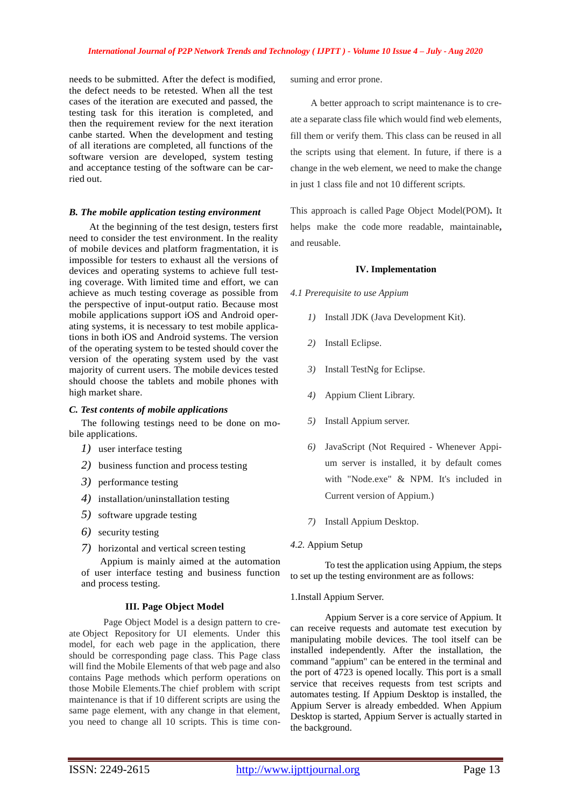needs to be submitted. After the defect is modified, the defect needs to be retested. When all the test cases of the iteration are executed and passed, the testing task for this iteration is completed, and then the requirement review for the next iteration canbe started. When the development and testing of all iterations are completed, all functions of the software version are developed, system testing and acceptance testing of the software can be carried out.

#### *B. The mobile application testing environment*

At the beginning of the test design, testers first need to consider the test environment. In the reality of mobile devices and platform fragmentation, it is impossible for testers to exhaust all the versions of devices and operating systems to achieve full testing coverage. With limited time and effort, we can achieve as much testing coverage as possible from the perspective of input-output ratio. Because most mobile applications support iOS and Android operating systems, it is necessary to test mobile applications in both iOS and Android systems. The version of the operating system to be tested should cover the version of the operating system used by the vast majority of current users. The mobile devices tested should choose the tablets and mobile phones with high market share.

# *C. Test contents of mobile applications*

The following testings need to be done on mobile applications.

- *1)* user interface testing
- *2)* business function and process testing
- *3)* performance testing
- *4)* installation/uninstallation testing
- *5)* software upgrade testing
- *6)* security testing
- *7)* horizontal and vertical screen testing

Appium is mainly aimed at the automation of user interface testing and business function and process testing.

# **III. Page Object Model**

Page Object Model is a design pattern to create Object Repository for UI elements. Under this model, for each web page in the application, there should be corresponding page class. This Page class will find the Mobile Elements of that web page and also contains Page methods which perform operations on those Mobile Elements.The chief problem with script maintenance is that if 10 different scripts are using the same page element, with any change in that element, you need to change all 10 scripts. This is time consuming and error prone.

A better approach to script maintenance is to create a separate class file which would find web elements, fill them or verify them. This class can be reused in all the scripts using that element. In future, if there is a change in the web element, we need to make the change in just 1 class file and not 10 different scripts.

This approach is called Page Object Model(POM)**.** It helps make the code more readable, maintainable**,**  and reusable.

### **IV. Implementation**

*4.1 Prerequisite to use Appium*

- *1)* Install JDK (Java Development Kit).
- *2)* Install Eclipse.
- *3)* Install TestNg for Eclipse.
- *4)* Appium Client Library.
- *5)* Install Appium server.
- *6)* JavaScript (Not Required Whenever Appium server is installed, it by default comes with "Node.exe" & NPM. It's included in Current version of Appium.)
- *7)* Install Appium Desktop.

# *4.2.* Appium Setup

To test the application using Appium, the steps to set up the testing environment are as follows:

#### 1.Install Appium Server.

Appium Server is a core service of Appium. It can receive requests and automate test execution by manipulating mobile devices. The tool itself can be installed independently. After the installation, the command "appium" can be entered in the terminal and the port of 4723 is opened locally. This port is a small service that receives requests from test scripts and automates testing. If Appium Desktop is installed, the Appium Server is already embedded. When Appium Desktop is started, Appium Server is actually started in the background.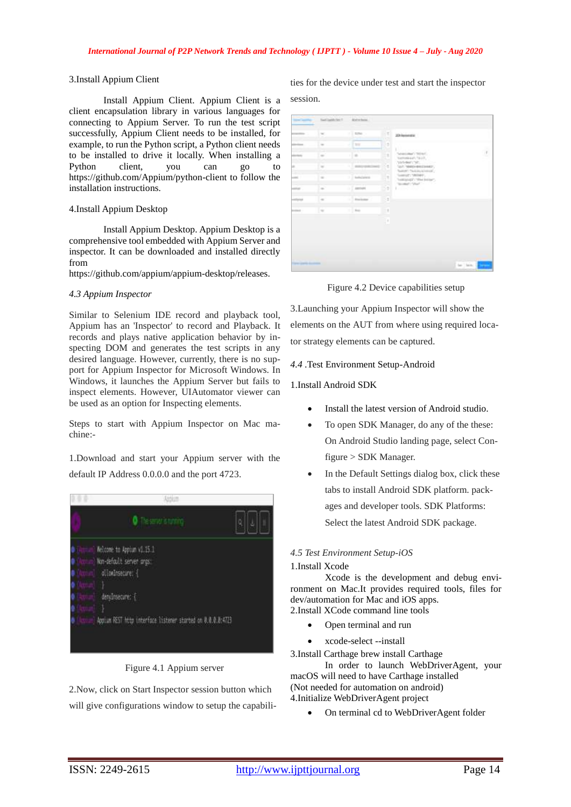# 3.Install Appium Client

Install Appium Client. Appium Client is a client encapsulation library in various languages for connecting to Appium Server. To run the test script successfully, Appium Client needs to be installed, for example, to run the Python script, a Python client needs to be installed to drive it locally. When installing a Python client, you can go to https://github.com/Appium/python-client to follow the installation instructions.

### 4.Install Appium Desktop

Install Appium Desktop. Appium Desktop is a comprehensive tool embedded with Appium Server and inspector. It can be downloaded and installed directly from

https://github.com/appium/appium-desktop/releases.

#### *4.3 Appium Inspector*

Similar to Selenium IDE record and playback tool, Appium has an 'Inspector' to record and Playback. It records and plays native application behavior by inspecting DOM and generates the test scripts in any desired language. However, currently, there is no support for Appium Inspector for Microsoft Windows. In Windows, it launches the Appium Server but fails to inspect elements. However, UIAutomator viewer can be used as an option for Inspecting elements.

Steps to start with Appium Inspector on Mac machine:-

1.Download and start your Appium server with the default IP Address 0.0.0.0 and the port 4723.





2.Now, click on Start Inspector session button which will give configurations window to setup the capabilities for the device under test and start the inspector

#### session.

| المتحاشا    | Swellington (ex) E |     | Abdressing             |                |                                                                       |   |
|-------------|--------------------|-----|------------------------|----------------|-----------------------------------------------------------------------|---|
|             | $\sim$             |     | of Lines               | H.             | <b>Shielenge</b>                                                      |   |
|             | $\sim$             | ÷   | <b>SIGN</b>            | Ŀ              |                                                                       |   |
|             | $\sim$             | н   | <b>START</b><br>$\sim$ | h.             | <u> Newcasayan</u><br>Seasona's block<br>temment 1027.                | 0 |
| m           | ×                  |     | $\sim$                 | œ<br>۰         | Well-Bertrift,<br>fault restrictionships.<br>Testor: Technical county |   |
| ×<br>$\sim$ | $\sim$             |     | 1   Indulated          | Ħ              | Somety Millery<br>Traditional C 1994 Solidary                         |   |
| sense.      | ×.                 | ۵Ť  | and only               | $\leq 2$       | "Women's "Dist" (1999)<br>Laborator a                                 |   |
| <b>SER</b>  | $\sim$             | - 1 | <b>Brandman</b>        | $\mathbb{R}^2$ |                                                                       |   |
|             | $\sim$             |     | 1. 84                  | ٠<br>$\cdot$   |                                                                       |   |
|             |                    |     |                        | ¢              |                                                                       |   |

Figure 4.2 Device capabilities setup

3.Launching your Appium Inspector will show the elements on the AUT from where using required locator strategy elements can be captured.

### *4.4 .*Test Environment Setup-Android

1.Install Android SDK

- Install the latest version of Android studio.
- To open SDK Manager, do any of the these: On Android Studio landing page, select Configure > SDK Manager.
- In the Default Settings dialog box, click these tabs to install Android SDK platform. packages and developer tools. SDK Platforms: Select the latest Android SDK package.

### *4.5 Test Environment Setup-iOS*

#### 1.Install Xcode

Xcode is the development and debug environment on Mac.It provides required tools, files for dev/automation for Mac and iOS apps. 2.Install XCode command line tools

- Open terminal and run
- xcode-select --install

3.Install Carthage brew install Carthage

In order to launch WebDriverAgent, your macOS will need to have Carthage installed (Not needed for automation on android) 4.Initialize WebDriverAgent project

On terminal cd to WebDriverAgent folder